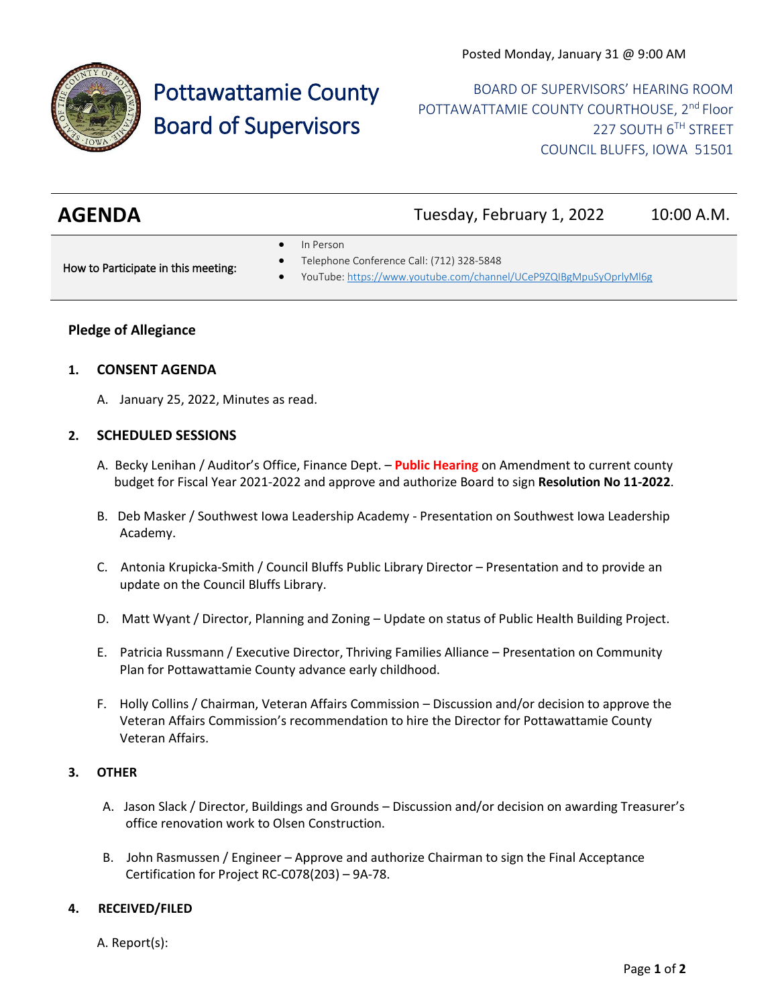

# Pottawattamie County Board of Supervisors

BOARD OF SUPERVISORS' HEARING ROOM POTTAWATTAMIE COUNTY COURTHOUSE, 2<sup>nd</sup> Floor 227 SOUTH 6TH STREET COUNCIL BLUFFS, IOWA 51501

| <b>AGENDA</b> | Tuesday, February 1, 2022 | 10:00 A.M. |
|---------------|---------------------------|------------|
|---------------|---------------------------|------------|

In Person

How to Participate in this meeting:

- Telephone Conference Call: (712) 328-5848
- YouTube[: https://www.youtube.com/channel/UCeP9ZQIBgMpuSyOprlyMl6g](https://www.youtube.com/channel/UCeP9ZQIBgMpuSyOprlyMl6g)

### **Pledge of Allegiance**

#### **1. CONSENT AGENDA**

A. January 25, 2022, Minutes as read.

#### **2. SCHEDULED SESSIONS**

- A. Becky Lenihan / Auditor's Office, Finance Dept. **Public Hearing** on Amendment to current county budget for Fiscal Year 2021-2022 and approve and authorize Board to sign **Resolution No 11-2022**.
- B. Deb Masker / Southwest Iowa Leadership Academy Presentation on Southwest Iowa Leadership Academy.
- C. Antonia Krupicka-Smith / Council Bluffs Public Library Director Presentation and to provide an update on the Council Bluffs Library.
- D. Matt Wyant / Director, Planning and Zoning Update on status of Public Health Building Project.
- E. Patricia Russmann / Executive Director, Thriving Families Alliance Presentation on Community Plan for Pottawattamie County advance early childhood.
- F. Holly Collins / Chairman, Veteran Affairs Commission Discussion and/or decision to approve the Veteran Affairs Commission's recommendation to hire the Director for Pottawattamie County Veteran Affairs.

#### **3. OTHER**

- A. Jason Slack / Director, Buildings and Grounds Discussion and/or decision on awarding Treasurer's office renovation work to Olsen Construction.
- B. John Rasmussen / Engineer Approve and authorize Chairman to sign the Final Acceptance Certification for Project RC-C078(203) – 9A-78.

## **4. RECEIVED/FILED**

A. Report(s):